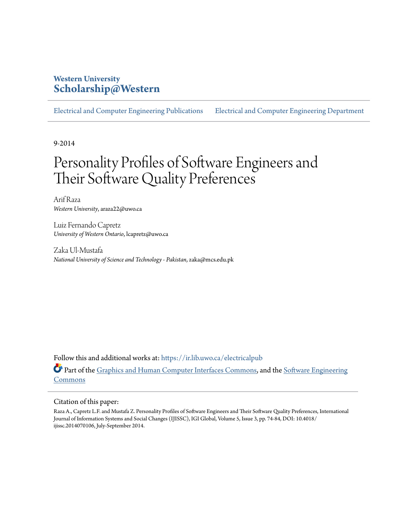## **Western University [Scholarship@Western](https://ir.lib.uwo.ca?utm_source=ir.lib.uwo.ca%2Felectricalpub%2F118&utm_medium=PDF&utm_campaign=PDFCoverPages)**

[Electrical and Computer Engineering Publications](https://ir.lib.uwo.ca/electricalpub?utm_source=ir.lib.uwo.ca%2Felectricalpub%2F118&utm_medium=PDF&utm_campaign=PDFCoverPages) [Electrical and Computer Engineering Department](https://ir.lib.uwo.ca/electrical?utm_source=ir.lib.uwo.ca%2Felectricalpub%2F118&utm_medium=PDF&utm_campaign=PDFCoverPages)

9-2014

# Personality Profiles of Software Engineers and Their Software Quality Preferences

Arif Raza *Western University*, araza22@uwo.ca

Luiz Fernando Capretz *University of Western Ontario*, lcapretz@uwo.ca

Zaka Ul-Mustafa *National University of Science and Technology - Pakistan*, zaka@mcs.edu.pk

Follow this and additional works at: [https://ir.lib.uwo.ca/electricalpub](https://ir.lib.uwo.ca/electricalpub?utm_source=ir.lib.uwo.ca%2Felectricalpub%2F118&utm_medium=PDF&utm_campaign=PDFCoverPages) **Part of the [Graphics and Human Computer Interfaces Commons](http://network.bepress.com/hgg/discipline/146?utm_source=ir.lib.uwo.ca%2Felectricalpub%2F118&utm_medium=PDF&utm_campaign=PDFCoverPages), and the [Software Engineering](http://network.bepress.com/hgg/discipline/150?utm_source=ir.lib.uwo.ca%2Felectricalpub%2F118&utm_medium=PDF&utm_campaign=PDFCoverPages)** [Commons](http://network.bepress.com/hgg/discipline/150?utm_source=ir.lib.uwo.ca%2Felectricalpub%2F118&utm_medium=PDF&utm_campaign=PDFCoverPages)

#### Citation of this paper:

Raza A., Capretz L.F. and Mustafa Z. Personality Profiles of Software Engineers and Their Software Quality Preferences, International Journal of Information Systems and Social Changes (IJISSC), IGI Global, Volume 5, Issue 3, pp. 74-84, DOI: 10.4018/ ijissc.2014070106, July-September 2014.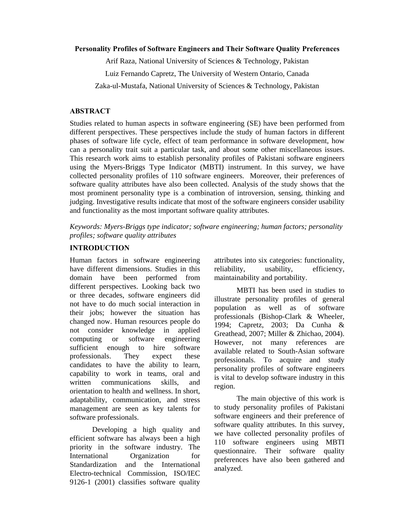#### **Personality Profiles of Software Engineers and Their Software Quality Preferences**

Arif Raza, National University of Sciences & Technology, Pakistan

Luiz Fernando Capretz, The University of Western Ontario, Canada

Zaka-ul-Mustafa, National University of Sciences & Technology, Pakistan

## **ABSTRACT**

Studies related to human aspects in software engineering (SE) have been performed from different perspectives. These perspectives include the study of human factors in different phases of software life cycle, effect of team performance in software development, how can a personality trait suit a particular task, and about some other miscellaneous issues. This research work aims to establish personality profiles of Pakistani software engineers using the Myers-Briggs Type Indicator (MBTI) instrument. In this survey, we have collected personality profiles of 110 software engineers. Moreover, their preferences of software quality attributes have also been collected. Analysis of the study shows that the most prominent personality type is a combination of introversion, sensing, thinking and judging. Investigative results indicate that most of the software engineers consider usability and functionality as the most important software quality attributes.

*Keywords: Myers-Briggs type indicator; software engineering; human factors; personality profiles; software quality attributes* 

## **INTRODUCTION**

Human factors in software engineering have different dimensions. Studies in this domain have been performed from different perspectives. Looking back two or three decades, software engineers did not have to do much social interaction in their jobs; however the situation has changed now. Human resources people do not consider knowledge in applied computing or software engineering sufficient enough to hire software professionals. They expect these candidates to have the ability to learn, capability to work in teams, oral and written communications skills, and orientation to health and wellness. In short, adaptability, communication, and stress management are seen as key talents for software professionals.

Developing a high quality and efficient software has always been a high priority in the software industry. The International Organization for Standardization and the International Electro-technical Commission, ISO/IEC 9126-1 (2001) classifies software quality attributes into six categories: functionality, reliability, usability, efficiency, maintainability and portability.

MBTI has been used in studies to illustrate personality profiles of general population as well as of software professionals (Bishop-Clark & Wheeler, 1994; Capretz, 2003; Da Cunha & Greathead, 2007; Miller & Zhichao, 2004). However, not many references are available related to South-Asian software professionals. To acquire and study personality profiles of software engineers is vital to develop software industry in this region.

The main objective of this work is to study personality profiles of Pakistani software engineers and their preference of software quality attributes. In this survey, we have collected personality profiles of 110 software engineers using MBTI questionnaire. Their software quality preferences have also been gathered and analyzed.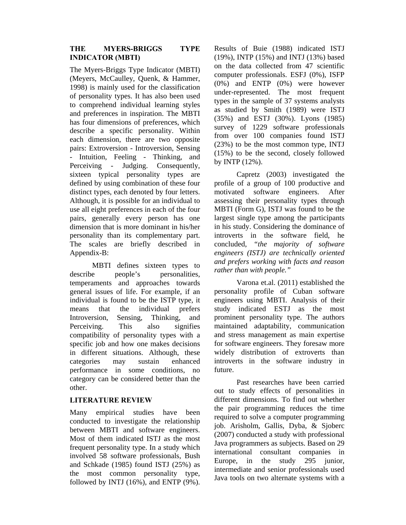## **THE MYERS-BRIGGS TYPE INDICATOR (MBTI)**

The Myers-Briggs Type Indicator (MBTI) (Meyers, McCaulley, Quenk, & Hammer, 1998) is mainly used for the classification of personality types. It has also been used to comprehend individual learning styles and preferences in inspiration. The MBTI has four dimensions of preferences, which describe a specific personality. Within each dimension, there are two opposite pairs: Extroversion - Introversion, Sensing - Intuition, Feeling - Thinking, and Perceiving - Judging. Consequently, sixteen typical personality types are defined by using combination of these four distinct types, each denoted by four letters. Although, it is possible for an individual to use all eight preferences in each of the four pairs, generally every person has one dimension that is more dominant in his/her personality than its complementary part. The scales are briefly described in Appendix-B:

MBTI defines sixteen types to describe people's personalities, temperaments and approaches towards general issues of life. For example, if an individual is found to be the ISTP type, it means that the individual prefers Introversion, Sensing, Thinking, and Perceiving. This also signifies compatibility of personality types with a specific job and how one makes decisions in different situations. Although, these categories may sustain enhanced performance in some conditions, no category can be considered better than the other.

## **LITERATURE REVIEW**

Many empirical studies have been conducted to investigate the relationship between MBTI and software engineers. Most of them indicated ISTJ as the most frequent personality type. In a study which involved 58 software professionals, Bush and Schkade (1985) found ISTJ (25%) as the most common personality type, followed by INTJ (16%), and ENTP (9%). Results of Buie (1988) indicated ISTJ (19%), INTP (15%) and INTJ (13%) based on the data collected from 47 scientific computer professionals. ESFJ (0%), ISFP (0%) and ENTP (0%) were however under-represented. The most frequent types in the sample of 37 systems analysts as studied by Smith (1989) were ISTJ (35%) and ESTJ (30%). Lyons (1985) survey of 1229 software professionals from over 100 companies found ISTJ (23%) to be the most common type, INTJ (15%) to be the second, closely followed by INTP (12%).

Capretz (2003) investigated the profile of a group of 100 productive and motivated software engineers. After assessing their personality types through MBTI (Form G), ISTJ was found to be the largest single type among the participants in his study. Considering the dominance of introverts in the software field, he concluded, *"the majority of software engineers (ISTJ) are technically oriented and prefers working with facts and reason rather than with people."*

Varona et.al. (2011) established the personality profile of Cuban software engineers using MBTI. Analysis of their study indicated ESTJ as the most prominent personality type. The authors maintained adaptability, communication and stress management as main expertise for software engineers. They foresaw more widely distribution of extroverts than introverts in the software industry in future.

Past researches have been carried out to study effects of personalities in different dimensions. To find out whether the pair programming reduces the time required to solve a computer programming job. Arisholm, Gallis, Dyba, & Sjoberc (2007) conducted a study with professional Java programmers as subjects. Based on 29 international consultant companies in Europe, in the study 295 junior, intermediate and senior professionals used Java tools on two alternate systems with a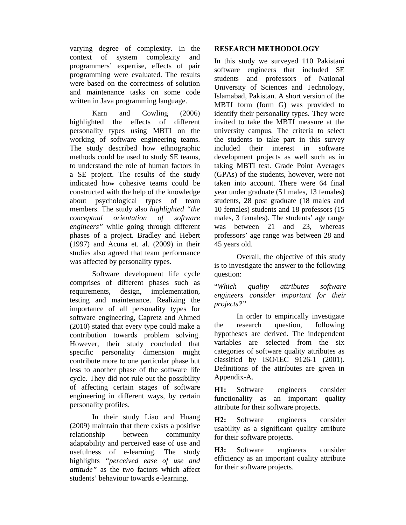varying degree of complexity. In the context of system complexity and programmers' expertise, effects of pair programming were evaluated. The results were based on the correctness of solution and maintenance tasks on some code written in Java programming language.

Karn and Cowling (2006) highlighted the effects of different personality types using MBTI on the working of software engineering teams. The study described how ethnographic methods could be used to study SE teams, to understand the role of human factors in a SE project. The results of the study indicated how cohesive teams could be constructed with the help of the knowledge about psychological types of team members. The study also *highlighted "the conceptual orientation of software engineers"* while going through different phases of a project. Bradley and Hebert (1997) and Acuna et. al. (2009) in their studies also agreed that team performance was affected by personality types.

Software development life cycle comprises of different phases such as requirements, design, implementation, testing and maintenance. Realizing the importance of all personality types for software engineering, Capretz and Ahmed (2010) stated that every type could make a contribution towards problem solving. However, their study concluded that specific personality dimension might contribute more to one particular phase but less to another phase of the software life cycle. They did not rule out the possibility of affecting certain stages of software engineering in different ways, by certain personality profiles.

In their study Liao and Huang (2009) maintain that there exists a positive relationship between community adaptability and perceived ease of use and usefulness of e-learning. The study highlights *"perceived ease of use and attitude"* as the two factors which affect students' behaviour towards e-learning.

## **RESEARCH METHODOLOGY**

In this study we surveyed 110 Pakistani software engineers that included SE students and professors of National University of Sciences and Technology, Islamabad, Pakistan. A short version of the MBTI form (form G) was provided to identify their personality types. They were invited to take the MBTI measure at the university campus. The criteria to select the students to take part in this survey included their interest in software development projects as well such as in taking MBTI test. Grade Point Averages (GPAs) of the students, however, were not taken into account. There were 64 final year under graduate (51 males, 13 females) students, 28 post graduate (18 males and 10 females) students and 18 professors (15 males, 3 females). The students' age range was between 21 and 23, whereas professors' age range was between 28 and 45 years old.

Overall, the objective of this study is to investigate the answer to the following question:

"*Which quality attributes software engineers consider important for their projects?"* 

In order to empirically investigate the research question, following hypotheses are derived. The independent variables are selected from the six categories of software quality attributes as classified by ISO/IEC 9126-1 (2001). Definitions of the attributes are given in Appendix-A.

**H1:** Software engineers consider functionality as an important quality attribute for their software projects.

**H2:** Software engineers consider usability as a significant quality attribute for their software projects.

**H3:** Software engineers consider efficiency as an important quality attribute for their software projects.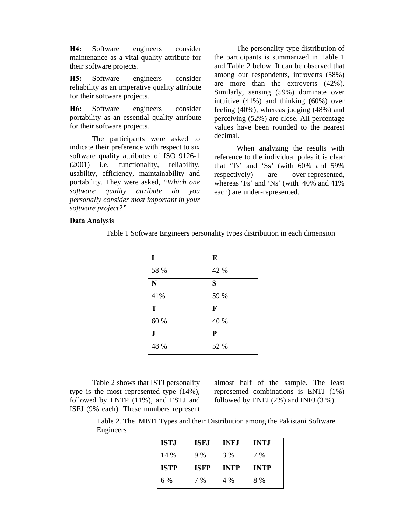**H4:** Software engineers consider maintenance as a vital quality attribute for their software projects.

**H5:** Software engineers consider reliability as an imperative quality attribute for their software projects.

**H6:** Software engineers consider portability as an essential quality attribute for their software projects.

The participants were asked to indicate their preference with respect to six software quality attributes of ISO 9126-1 (2001) i.e. functionality, reliability, usability, efficiency, maintainability and portability. They were asked, *"Which one software quality attribute do you personally consider most important in your software project?"*

The personality type distribution of the participants is summarized in Table 1 and Table 2 below. It can be observed that among our respondents, introverts (58%) are more than the extroverts (42%). Similarly, sensing (59%) dominate over intuitive (41%) and thinking (60%) over feeling (40%), whereas judging (48%) and perceiving (52%) are close. All percentage values have been rounded to the nearest decimal.

When analyzing the results with reference to the individual poles it is clear that 'Ts' and 'Ss' (with 60% and 59% respectively) are over-represented, whereas 'Fs' and 'Ns' (with 40% and 41% each) are under-represented.

#### **Data Analysis**

| I                  | E            |
|--------------------|--------------|
| 58 %               | 42 %         |
| $\overline{\bf N}$ | S            |
| 41%                | 59 %         |
| T                  | $\mathbf{F}$ |
| 60 %               | 40 %         |
| J                  | ${\bf P}$    |
| 48 %               | 52 %         |

Table 1 Software Engineers personality types distribution in each dimension

Table 2 shows that ISTJ personality type is the most represented type (14%), followed by ENTP (11%), and ESTJ and ISFJ (9% each). These numbers represent almost half of the sample. The least represented combinations is ENTJ (1%) followed by ENFJ  $(2\%)$  and INFJ  $(3\%)$ .

Table 2. The MBTI Types and their Distribution among the Pakistani Software Engineers

| <b>ISTJ</b> | <b>ISFJ</b> | <b>INFJ</b> | <b>INTJ</b> |
|-------------|-------------|-------------|-------------|
| 14 %        | 9%          | 3 %         | 7 %         |
| <b>ISTP</b> | <b>ISFP</b> | <b>INFP</b> | <b>INTP</b> |
| 6 %         | 7 %         | 4 %         | 8 %         |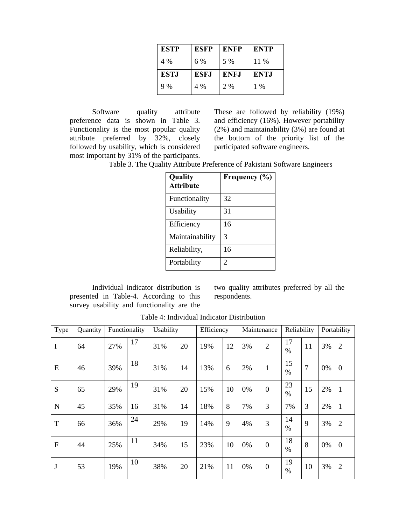| <b>ESTP</b> | <b>ESFP</b> | <b>ENFP</b> | <b>ENTP</b> |
|-------------|-------------|-------------|-------------|
| 4 %         | 6 %         | 5 %         | 11 %        |
| <b>ESTJ</b> | <b>ESFJ</b> | <b>ENFJ</b> | ENT.I       |
| 9%          | 4 %         | 2 %         | $1\%$       |

Software quality attribute preference data is shown in Table 3. Functionality is the most popular quality attribute preferred by 32%, closely followed by usability, which is considered most important by 31% of the participants.

These are followed by reliability (19%) and efficiency (16%). However portability (2%) and maintainability (3%) are found at the bottom of the priority list of the participated software engineers.

Table 3. The Quality Attribute Preference of Pakistani Software Engineers

| Quality<br><b>Attribute</b> | Frequency (%) |
|-----------------------------|---------------|
| Functionality               | 32            |
| Usability                   | 31            |
| Efficiency                  | 16            |
| Maintainability             | 3             |
| Reliability,                | 16            |
| Portability                 | 2             |

Individual indicator distribution is presented in Table-4. According to this survey usability and functionality are the

two quality attributes preferred by all the respondents.

| Type         | Quantity | Functionality |    | Usability |    | Efficiency |    | Maintenance |                | Reliability |    |    | Portability    |
|--------------|----------|---------------|----|-----------|----|------------|----|-------------|----------------|-------------|----|----|----------------|
| I            | 64       | 27%           | 17 | 31%       | 20 | 19%        | 12 | 3%          | $\overline{2}$ | 17<br>$\%$  | 11 | 3% | 2              |
| E            | 46       | 39%           | 18 | 31%       | 14 | 13%        | 6  | 2%          | $\mathbf{1}$   | 15<br>$\%$  | 7  | 0% | $\overline{0}$ |
| S            | 65       | 29%           | 19 | 31%       | 20 | 15%        | 10 | 0%          | $\mathbf{0}$   | 23<br>$\%$  | 15 | 2% | 1              |
| N            | 45       | 35%           | 16 | 31%       | 14 | 18%        | 8  | 7%          | 3              | 7%          | 3  | 2% | $\mathbf{1}$   |
| T            | 66       | 36%           | 24 | 29%       | 19 | 14%        | 9  | 4%          | 3              | 14<br>$\%$  | 9  | 3% | 2              |
| F            | 44       | 25%           | 11 | 34%       | 15 | 23%        | 10 | 0%          | $\overline{0}$ | 18<br>$\%$  | 8  | 0% | $\overline{0}$ |
| $\mathbf{J}$ | 53       | 19%           | 10 | 38%       | 20 | 21%        | 11 | 0%          | $\mathbf{0}$   | 19<br>$\%$  | 10 | 3% | 2              |

Table 4: Individual Indicator Distribution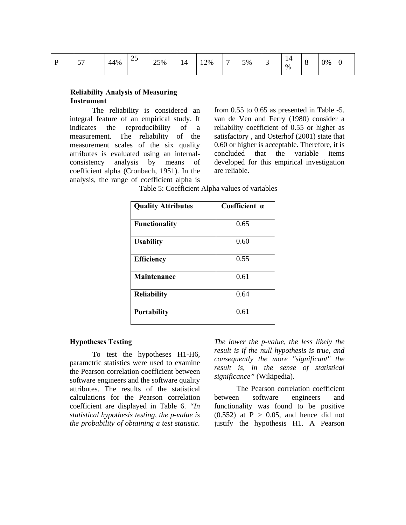| Ð | $- -$<br>ັ້ | 44% | $\mathcal{L}$<br>رے | 25% | 14 | 12% | - | 5% | ້ | . 4<br>. .<br>% | -<br>◡ | 0% |  |
|---|-------------|-----|---------------------|-----|----|-----|---|----|---|-----------------|--------|----|--|
|---|-------------|-----|---------------------|-----|----|-----|---|----|---|-----------------|--------|----|--|

## **Reliability Analysis of Measuring Instrument**

The reliability is considered an integral feature of an empirical study. It indicates the reproducibility of a measurement. The reliability of the measurement scales of the six quality attributes is evaluated using an internalconsistency analysis by means of coefficient alpha (Cronbach, 1951). In the analysis, the range of coefficient alpha is

from 0.55 to 0.65 as presented in Table -5. van de Ven and Ferry (1980) consider a reliability coefficient of 0.55 or higher as satisfactory , and Osterhof (2001) state that 0.60 or higher is acceptable. Therefore, it is concluded that the variable items developed for this empirical investigation are reliable.

Table 5: Coefficient Alpha values of variables

| <b>Quality Attributes</b> | Coefficient a |
|---------------------------|---------------|
| <b>Functionality</b>      | 0.65          |
| <b>Usability</b>          | 0.60          |
| <b>Efficiency</b>         | 0.55          |
| Maintenance               | 0.61          |
| <b>Reliability</b>        | 0.64          |
| <b>Portability</b>        | 0.61          |

## **Hypotheses Testing**

To test the hypotheses H1-H6, parametric statistics were used to examine the Pearson correlation coefficient between software engineers and the software quality attributes. The results of the statistical calculations for the Pearson correlation coefficient are displayed in Table 6. *"In statistical hypothesis testing, the p-value is the probability of obtaining a test statistic.*  *The lower the p-value, the less likely the result is if the null hypothesis is true, and consequently the more "significant" the result is, in the sense of statistical significance"* (Wikipedia).

The Pearson correlation coefficient between software engineers and functionality was found to be positive  $(0.552)$  at  $P > 0.05$ , and hence did not justify the hypothesis H1. A Pearson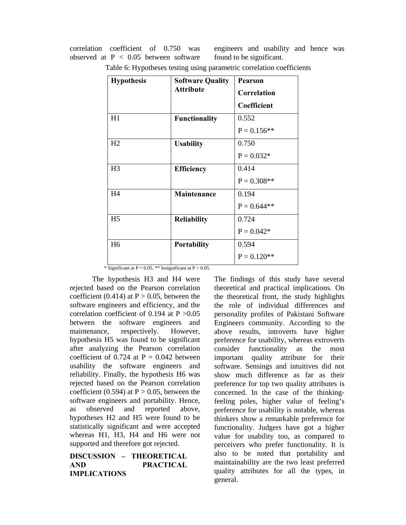correlation coefficient of 0.750 was observed at  $P < 0.05$  between software engineers and usability and hence was found to be significant.

| <b>Hypothesis</b> | <b>Software Quality</b> |               |
|-------------------|-------------------------|---------------|
|                   | <b>Attribute</b>        | Correlation   |
|                   |                         | Coefficient   |
| H1                | <b>Functionality</b>    | 0.552         |
|                   |                         | $P = 0.156**$ |
| H2                | <b>Usability</b>        | 0.750         |
|                   |                         | $P = 0.032*$  |
| H <sub>3</sub>    | Efficiency              | 0.414         |
|                   |                         | $P = 0.308**$ |
| H4                | Maintenance             | 0.194         |
|                   |                         | $P = 0.644**$ |
| H <sub>5</sub>    | <b>Reliability</b>      | 0.724         |
|                   |                         | $P = 0.042*$  |
| H <sub>6</sub>    | Portability             | 0.594         |
|                   |                         | $P = 0.120**$ |

Table 6: Hypotheses testing using parametric correlation coefficients

\* Significant at  $P < 0.05$ . \*\* Insignificant at  $P > 0.05$ .

The hypothesis H3 and H4 were rejected based on the Pearson correlation coefficient (0.414) at  $P > 0.05$ , between the software engineers and efficiency, and the correlation coefficient of 0.194 at P >0.05 between the software engineers and maintenance, respectively. However, hypothesis H5 was found to be significant after analyzing the Pearson correlation coefficient of 0.724 at  $P = 0.042$  between usability the software engineers and reliability. Finally, the hypothesis H6 was rejected based on the Pearson correlation coefficient (0.594) at  $P > 0.05$ , between the software engineers and portability. Hence, as observed and reported above, hypotheses H2 and H5 were found to be statistically significant and were accepted whereas H1, H3, H4 and H6 were not supported and therefore got rejected.

## **DISCUSSION – THEORETICAL AND PRACTICAL IMPLICATIONS**

The findings of this study have several theoretical and practical implications. On the theoretical front, the study highlights the role of individual differences and personality profiles of Pakistani Software Engineers community. According to the above results, introverts have higher preference for usability, whereas extroverts consider functionality as the most important quality attribute for their software. Sensings and intuitives did not show much difference as far as their preference for top two quality attributes is concerned. In the case of the thinkingfeeling poles, higher value of feeling's preference for usability is notable, whereas thinkers show a remarkable preference for functionality. Judgers have got a higher value for usability too, as compared to perceivers who prefer functionality. It is also to be noted that portability and maintainability are the two least preferred quality attributes for all the types, in general.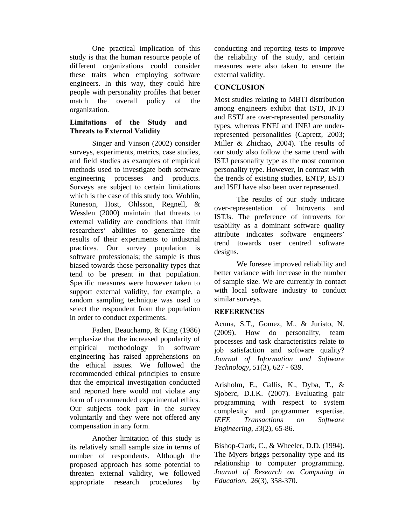One practical implication of this study is that the human resource people of different organizations could consider these traits when employing software engineers. In this way, they could hire people with personality profiles that better match the overall policy of the organization.

## **Limitations of the Study and Threats to External Validity**

Singer and Vinson (2002) consider surveys, experiments, metrics, case studies, and field studies as examples of empirical methods used to investigate both software engineering processes and products. Surveys are subject to certain limitations which is the case of this study too. Wohlin, Runeson, Host, Ohlsson, Regnell, & Wesslen (2000) maintain that threats to external validity are conditions that limit researchers' abilities to generalize the results of their experiments to industrial practices. Our survey population is software professionals; the sample is thus biased towards those personality types that tend to be present in that population. Specific measures were however taken to support external validity, for example, a random sampling technique was used to select the respondent from the population in order to conduct experiments.

Faden, Beauchamp, & King (1986) emphasize that the increased popularity of empirical methodology in software engineering has raised apprehensions on the ethical issues. We followed the recommended ethical principles to ensure that the empirical investigation conducted and reported here would not violate any form of recommended experimental ethics. Our subjects took part in the survey voluntarily and they were not offered any compensation in any form.

Another limitation of this study is its relatively small sample size in terms of number of respondents. Although the proposed approach has some potential to threaten external validity, we followed appropriate research procedures by conducting and reporting tests to improve the reliability of the study, and certain measures were also taken to ensure the external validity.

## **CONCLUSION**

Most studies relating to MBTI distribution among engineers exhibit that ISTJ, INTJ and ESTJ are over-represented personality types, whereas ENFJ and INFJ are underrepresented personalities (Capretz, 2003; Miller & Zhichao, 2004). The results of our study also follow the same trend with ISTJ personality type as the most common personality type. However, in contrast with the trends of existing studies, ENTP, ESTJ and ISFJ have also been over represented.

The results of our study indicate over-representation of Introverts and ISTJs. The preference of introverts for usability as a dominant software quality attribute indicates software engineers' trend towards user centred software designs.

We foresee improved reliability and better variance with increase in the number of sample size. We are currently in contact with local software industry to conduct similar surveys.

## **REFERENCES**

Acuna, S.T., Gomez, M., & Juristo, N. (2009). How do personality, team processes and task characteristics relate to job satisfaction and software quality? *Journal of Information and Sofiware Technology*, *51*(3), 627 - 639.

Arisholm, E., Gallis, K., Dyba, T., & Sjoberc, D.I.K. (2007). Evaluating pair programming with respect to system complexity and programmer expertise*. IEEE Transactions on Software Engineering*, *33*(2), 65-86.

Bishop-Clark, C., & Wheeler, D.D. (1994). The Myers briggs personality type and its relationship to computer programming. *Journal of Research on Computing in Education, 26*(3), 358-370.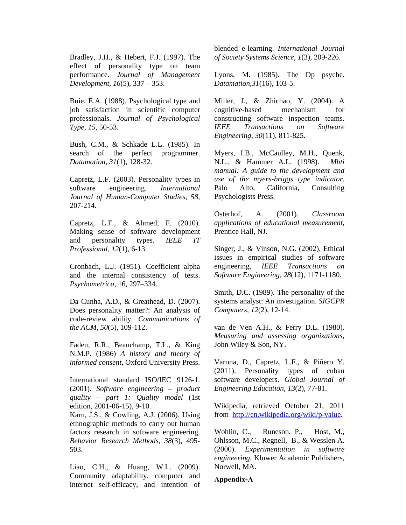Bradley, J.H., & Hebert, F.J. (1997). The effect of personality type on team performance. *Journal of Management Development, 16*(5), 337 – 353.

Buie, E.A. (1988). Psychological type and job satisfaction in scientific computer professionals. *Journal of Psychological Type*, *15*, 50-53.

Bush, C.M., & Schkade L.L. (1985). In search of the perfect programmer. *Datamation, 31*(1), 128-32.

Capretz, L.F. (2003). Personality types in software engineering. *International Journal of Human-Computer Studies*, *58*, 207-214.

Capretz, L.F., & Ahmed, F. (2010). Making sense of software development and personality types. *IEEE IT Professional*, *12*(1), 6-13.

Cronbach, L.J. (1951). Coefficient alpha and the internal consistency of tests. *Psychometrica*, 16, 297–334.

Da Cunha, A.D., & Greathead, D. (2007). Does personality matter?: An analysis of code-review ability. *Communications of the ACM*, *50*(5), 109-112.

Faden, R.R., Beauchamp, T.L., & King N.M.P. (1986) *A history and theory of informed consent*, Oxford University Press.

International standard ISO/IEC 9126-1. (2001). *Software engineering – product quality – part 1: Quality model* (1st edition, 2001-06-15), 9-10.

Karn, J.S., & Cowling, A.J. (2006). Using ethnographic methods to carry out human factors research in software engineering. *Behavior Research Methods*, *38*(3), 495- 503.

Liao, C.H., & Huang, W.L. (2009). Community adaptability, computer and internet self-efficacy, and intention of blended e-learning. *International Journal of Society Systems Science*, *1*(3), 209-226.

Lyons, M. (1985). The Dp psyche. *Datamation,31*(16), 103-5.

Miller, J., & Zhichao, Y. (2004). A cognitive-based mechanism for constructing software inspection teams. *IEEE Transactions on Software Engineering*, *30*(11), 811-825.

Myers, I.B., McCaulley, M.H., Quenk, N.L., & Hammer A.L. (1998). *Mbti manual: A guide to the development and use of the myers-briggs type indicator.* Palo Alto, California, Consulting Psychologists Press.

Osterhof, A. (2001). *Classroom applications of educational measurement,* Prentice Hall, NJ.

Singer, J., & Vinson, N.G. (2002). Ethical issues in empirical studies of software engineering, *IEEE Transactions on Software Engineering*, *28*(12), 1171-1180.

Smith, D.C. (1989). The personality of the systems analyst: An investigation. *SIGCPR Computers*, *12*(2), 12-14.

van de Ven A.H., & Ferry D.L. (1980). *Measuring and assessing organizations,* John Wiley & Son, NY.

Varona, D., Capretz, L.F., & Piñero Y. (2011). Personality types of cuban software developers. *Global Journal of Engineering Education*, *13*(2), 77-81.

Wikipedia, retrieved October 21, 2011 from http://en.wikipedia.org/wiki/p-value.

Wohlin, C., Runeson, P., Host, M., Ohlsson, M.C., Regnell, B., & Wesslen A. (2000). *Experimentation in software engineering*, Kluwer Academic Publishers, Norwell, MA.

#### **Appendix-A**